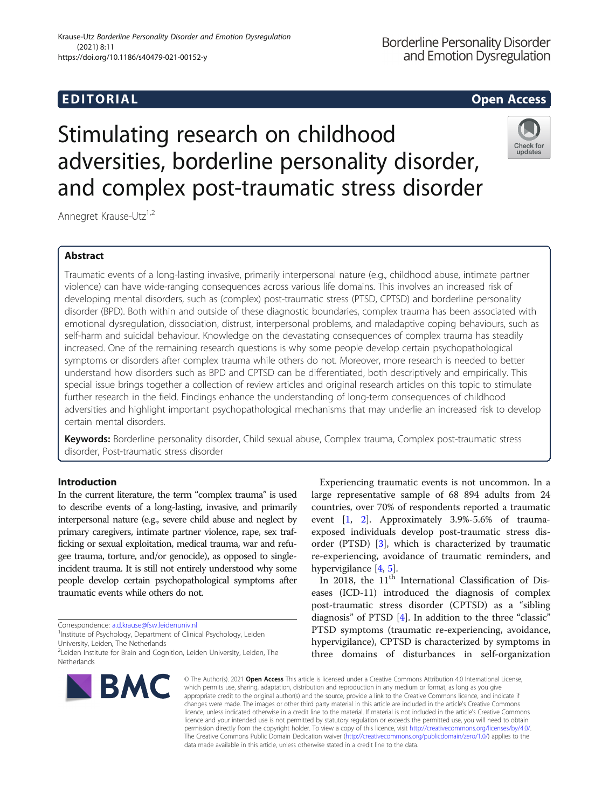# EDI TORIA L Open Access

# Stimulating research on childhood adversities, borderline personality disorder, and complex post-traumatic stress disorder



Annegret Krause-Utz<sup>1,2</sup>

# Abstract

Traumatic events of a long-lasting invasive, primarily interpersonal nature (e.g., childhood abuse, intimate partner violence) can have wide-ranging consequences across various life domains. This involves an increased risk of developing mental disorders, such as (complex) post-traumatic stress (PTSD, CPTSD) and borderline personality disorder (BPD). Both within and outside of these diagnostic boundaries, complex trauma has been associated with emotional dysregulation, dissociation, distrust, interpersonal problems, and maladaptive coping behaviours, such as self-harm and suicidal behaviour. Knowledge on the devastating consequences of complex trauma has steadily increased. One of the remaining research questions is why some people develop certain psychopathological symptoms or disorders after complex trauma while others do not. Moreover, more research is needed to better understand how disorders such as BPD and CPTSD can be differentiated, both descriptively and empirically. This special issue brings together a collection of review articles and original research articles on this topic to stimulate further research in the field. Findings enhance the understanding of long-term consequences of childhood adversities and highlight important psychopathological mechanisms that may underlie an increased risk to develop certain mental disorders.

Keywords: Borderline personality disorder, Child sexual abuse, Complex trauma, Complex post-traumatic stress disorder, Post-traumatic stress disorder

# Introduction

In the current literature, the term "complex trauma" is used to describe events of a long-lasting, invasive, and primarily interpersonal nature (e.g., severe child abuse and neglect by primary caregivers, intimate partner violence, rape, sex trafficking or sexual exploitation, medical trauma, war and refugee trauma, torture, and/or genocide), as opposed to singleincident trauma. It is still not entirely understood why some people develop certain psychopathological symptoms after traumatic events while others do not.

Correspondence: [a.d.krause@fsw.leidenuniv.nl](mailto:a.d.krause@fsw.leidenuniv.nl) <sup>1</sup>

<sup>1</sup> Institute of Psychology, Department of Clinical Psychology, Leiden University, Leiden, The Netherlands

<sup>&</sup>lt;sup>2</sup>Leiden Institute for Brain and Cognition, Leiden University, Leiden, The Netherlands



Experiencing traumatic events is not uncommon. In a large representative sample of 68 894 adults from 24 countries, over 70% of respondents reported a traumatic event [[1,](#page-2-0) [2](#page-2-0)]. Approximately 3.9%-5.6% of traumaexposed individuals develop post-traumatic stress disorder (PTSD) [\[3](#page-2-0)], which is characterized by traumatic re-experiencing, avoidance of traumatic reminders, and hypervigilance [\[4](#page-2-0), [5](#page-2-0)].

In 2018, the  $11<sup>th</sup>$  International Classification of Diseases (ICD-11) introduced the diagnosis of complex post-traumatic stress disorder (CPTSD) as a "sibling diagnosis" of PTSD [\[4](#page-2-0)]. In addition to the three "classic" PTSD symptoms (traumatic re-experiencing, avoidance, hypervigilance), CPTSD is characterized by symptoms in three domains of disturbances in self-organization

© The Author(s). 2021 Open Access This article is licensed under a Creative Commons Attribution 4.0 International License, which permits use, sharing, adaptation, distribution and reproduction in any medium or format, as long as you give appropriate credit to the original author(s) and the source, provide a link to the Creative Commons licence, and indicate if changes were made. The images or other third party material in this article are included in the article's Creative Commons licence, unless indicated otherwise in a credit line to the material. If material is not included in the article's Creative Commons licence and your intended use is not permitted by statutory regulation or exceeds the permitted use, you will need to obtain permission directly from the copyright holder. To view a copy of this licence, visit [http://creativecommons.org/licenses/by/4.0/.](http://creativecommons.org/licenses/by/4.0/) The Creative Commons Public Domain Dedication waiver [\(http://creativecommons.org/publicdomain/zero/1.0/](http://creativecommons.org/publicdomain/zero/1.0/)) applies to the data made available in this article, unless otherwise stated in a credit line to the data.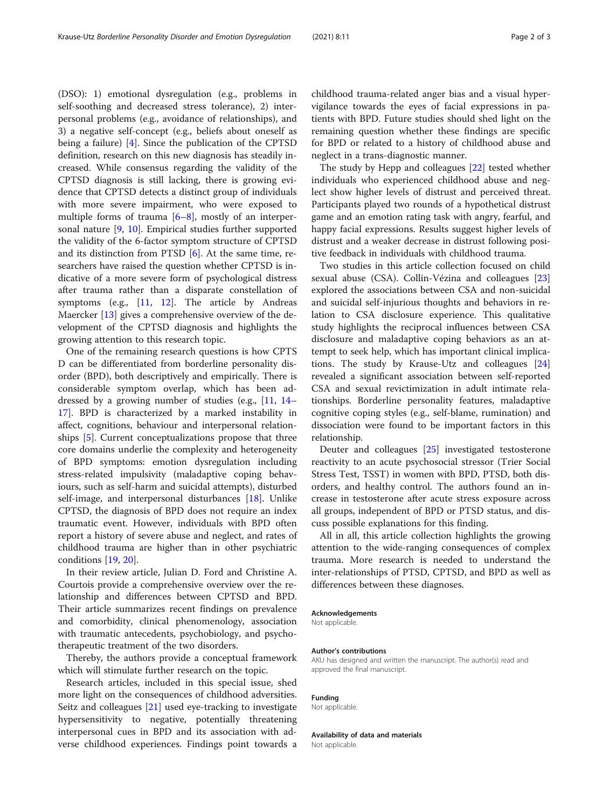(DSO): 1) emotional dysregulation (e.g., problems in self-soothing and decreased stress tolerance), 2) interpersonal problems (e.g., avoidance of relationships), and 3) a negative self-concept (e.g., beliefs about oneself as being a failure) [\[4](#page-2-0)]. Since the publication of the CPTSD definition, research on this new diagnosis has steadily increased. While consensus regarding the validity of the CPTSD diagnosis is still lacking, there is growing evidence that CPTSD detects a distinct group of individuals with more severe impairment, who were exposed to multiple forms of trauma  $[6–8]$  $[6–8]$  $[6–8]$  $[6–8]$ , mostly of an interpersonal nature [\[9](#page-2-0), [10\]](#page-2-0). Empirical studies further supported the validity of the 6-factor symptom structure of CPTSD and its distinction from PTSD [\[6](#page-2-0)]. At the same time, researchers have raised the question whether CPTSD is indicative of a more severe form of psychological distress after trauma rather than a disparate constellation of symptoms (e.g.,  $[11, 12]$  $[11, 12]$  $[11, 12]$  $[11, 12]$ . The article by Andreas Maercker [[13\]](#page-2-0) gives a comprehensive overview of the development of the CPTSD diagnosis and highlights the growing attention to this research topic.

One of the remaining research questions is how CPTS D can be differentiated from borderline personality disorder (BPD), both descriptively and empirically. There is considerable symptom overlap, which has been addressed by a growing number of studies (e.g., [[11](#page-2-0), [14](#page-2-0)– [17\]](#page-2-0). BPD is characterized by a marked instability in affect, cognitions, behaviour and interpersonal relationships [\[5](#page-2-0)]. Current conceptualizations propose that three core domains underlie the complexity and heterogeneity of BPD symptoms: emotion dysregulation including stress-related impulsivity (maladaptive coping behaviours, such as self-harm and suicidal attempts), disturbed self-image, and interpersonal disturbances [\[18](#page-2-0)]. Unlike CPTSD, the diagnosis of BPD does not require an index traumatic event. However, individuals with BPD often report a history of severe abuse and neglect, and rates of childhood trauma are higher than in other psychiatric conditions [[19](#page-2-0), [20](#page-2-0)].

In their review article, Julian D. Ford and Christine A. Courtois provide a comprehensive overview over the relationship and differences between CPTSD and BPD. Their article summarizes recent findings on prevalence and comorbidity, clinical phenomenology, association with traumatic antecedents, psychobiology, and psychotherapeutic treatment of the two disorders.

Thereby, the authors provide a conceptual framework which will stimulate further research on the topic.

Research articles, included in this special issue, shed more light on the consequences of childhood adversities. Seitz and colleagues [\[21\]](#page-2-0) used eye-tracking to investigate hypersensitivity to negative, potentially threatening interpersonal cues in BPD and its association with adverse childhood experiences. Findings point towards a childhood trauma-related anger bias and a visual hypervigilance towards the eyes of facial expressions in patients with BPD. Future studies should shed light on the remaining question whether these findings are specific for BPD or related to a history of childhood abuse and neglect in a trans-diagnostic manner.

The study by Hepp and colleagues [[22\]](#page-2-0) tested whether individuals who experienced childhood abuse and neglect show higher levels of distrust and perceived threat. Participants played two rounds of a hypothetical distrust game and an emotion rating task with angry, fearful, and happy facial expressions. Results suggest higher levels of distrust and a weaker decrease in distrust following positive feedback in individuals with childhood trauma.

Two studies in this article collection focused on child sexual abuse (CSA). Collin-Vézina and colleagues [[23](#page-2-0)] explored the associations between CSA and non-suicidal and suicidal self-injurious thoughts and behaviors in relation to CSA disclosure experience. This qualitative study highlights the reciprocal influences between CSA disclosure and maladaptive coping behaviors as an attempt to seek help, which has important clinical implications. The study by Krause-Utz and colleagues [[24](#page-2-0)] revealed a significant association between self-reported CSA and sexual revictimization in adult intimate relationships. Borderline personality features, maladaptive cognitive coping styles (e.g., self-blame, rumination) and dissociation were found to be important factors in this relationship.

Deuter and colleagues [[25\]](#page-2-0) investigated testosterone reactivity to an acute psychosocial stressor (Trier Social Stress Test, TSST) in women with BPD, PTSD, both disorders, and healthy control. The authors found an increase in testosterone after acute stress exposure across all groups, independent of BPD or PTSD status, and discuss possible explanations for this finding.

All in all, this article collection highlights the growing attention to the wide-ranging consequences of complex trauma. More research is needed to understand the inter-relationships of PTSD, CPTSD, and BPD as well as differences between these diagnoses.

#### Acknowledgements

Not applicable.

#### Author's contributions

AKU has designed and written the manuscript. The author(s) read and approved the final manuscript.

#### Funding

Not applicable.

#### Availability of data and materials Not applicable.